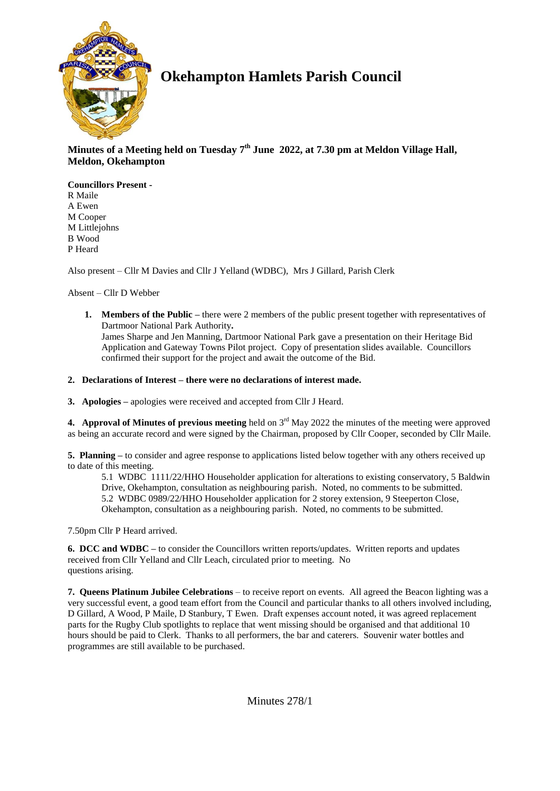

# **Okehampton Hamlets Parish Council**

# **Minutes of a Meeting held on Tuesday 7 th June 2022, at 7.30 pm at Meldon Village Hall, Meldon, Okehampton**

**Councillors Present -** R Maile A Ewen M Cooper M Littlejohns B Wood P Heard

Also present – Cllr M Davies and Cllr J Yelland (WDBC), Mrs J Gillard, Parish Clerk

Absent – Cllr D Webber

**1. Members of the Public –** there were 2 members of the public present together with representatives of Dartmoor National Park Authority**.** James Sharpe and Jen Manning, Dartmoor National Park gave a presentation on their Heritage Bid Application and Gateway Towns Pilot project. Copy of presentation slides available. Councillors confirmed their support for the project and await the outcome of the Bid.

# **2. Declarations of Interest – there were no declarations of interest made.**

**3. Apologies –** apologies were received and accepted from Cllr J Heard.

**4. Approval of Minutes of previous meeting** held on  $3<sup>rd</sup>$  May 2022 the minutes of the meeting were approved as being an accurate record and were signed by the Chairman, proposed by Cllr Cooper, seconded by Cllr Maile.

**5. Planning –** to consider and agree response to applications listed below together with any others received up to date of this meeting.

5.1 WDBC 1111/22/HHO Householder application for alterations to existing conservatory, 5 Baldwin Drive, Okehampton, consultation as neighbouring parish. Noted, no comments to be submitted. 5.2 WDBC 0989/22/HHO Householder application for 2 storey extension, 9 Steeperton Close, Okehampton, consultation as a neighbouring parish. Noted, no comments to be submitted.

7.50pm Cllr P Heard arrived.

**6. DCC and WDBC –** to consider the Councillors written reports/updates. Written reports and updates received from Cllr Yelland and Cllr Leach, circulated prior to meeting. No questions arising.

**7. Queens Platinum Jubilee Celebrations** – to receive report on events. All agreed the Beacon lighting was a very successful event, a good team effort from the Council and particular thanks to all others involved including, D Gillard, A Wood, P Maile, D Stanbury, T Ewen. Draft expenses account noted, it was agreed replacement parts for the Rugby Club spotlights to replace that went missing should be organised and that additional 10 hours should be paid to Clerk. Thanks to all performers, the bar and caterers. Souvenir water bottles and programmes are still available to be purchased.

Minutes 278/1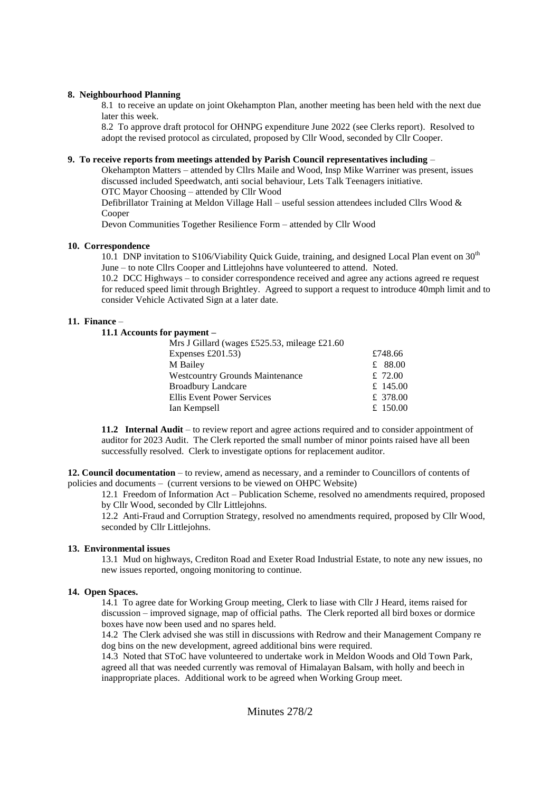### **8. Neighbourhood Planning**

8.1 to receive an update on joint Okehampton Plan, another meeting has been held with the next due later this week.

8.2 To approve draft protocol for OHNPG expenditure June 2022 (see Clerks report). Resolved to adopt the revised protocol as circulated, proposed by Cllr Wood, seconded by Cllr Cooper.

# **9. To receive reports from meetings attended by Parish Council representatives including** –

Okehampton Matters – attended by Cllrs Maile and Wood, Insp Mike Warriner was present, issues discussed included Speedwatch, anti social behaviour, Lets Talk Teenagers initiative. OTC Mayor Choosing – attended by Cllr Wood

Defibrillator Training at Meldon Village Hall – useful session attendees included Cllrs Wood & Cooper

Devon Communities Together Resilience Form – attended by Cllr Wood

#### **10. Correspondence**

10.1 DNP invitation to S106/Viability Quick Guide, training, and designed Local Plan event on 30<sup>th</sup> June – to note Cllrs Cooper and Littlejohns have volunteered to attend. Noted.

10.2 DCC Highways – to consider correspondence received and agree any actions agreed re request for reduced speed limit through Brightley. Agreed to support a request to introduce 40mph limit and to consider Vehicle Activated Sign at a later date.

#### **11. Finance** –

# **11.1 Accounts for payment –**

| Mrs J Gillard (wages £525.53, mileage £21.60 |           |
|----------------------------------------------|-----------|
| Expenses $£201.53)$                          | £748.66   |
| M Bailey                                     | £ $88.00$ |
| <b>Westcountry Grounds Maintenance</b>       | £ 72.00   |
| <b>Broadbury Landcare</b>                    | £ 145.00  |
| Ellis Event Power Services                   | £ 378.00  |
| Ian Kempsell                                 | £ 150.00  |
|                                              |           |

**11.2 Internal Audit** – to review report and agree actions required and to consider appointment of auditor for 2023 Audit. The Clerk reported the small number of minor points raised have all been successfully resolved. Clerk to investigate options for replacement auditor.

**12. Council documentation** – to review, amend as necessary, and a reminder to Councillors of contents of policies and documents – (current versions to be viewed on OHPC Website)

12.1 Freedom of Information Act – Publication Scheme, resolved no amendments required, proposed by Cllr Wood, seconded by Cllr Littlejohns.

12.2 Anti-Fraud and Corruption Strategy, resolved no amendments required, proposed by Cllr Wood, seconded by Cllr Littlejohns.

## **13. Environmental issues**

13.1 Mud on highways, Crediton Road and Exeter Road Industrial Estate, to note any new issues, no new issues reported, ongoing monitoring to continue.

### **14. Open Spaces.**

14.1 To agree date for Working Group meeting, Clerk to liase with Cllr J Heard, items raised for discussion – improved signage, map of official paths. The Clerk reported all bird boxes or dormice boxes have now been used and no spares held.

14.2 The Clerk advised she was still in discussions with Redrow and their Management Company re dog bins on the new development, agreed additional bins were required.

14.3 Noted that SToC have volunteered to undertake work in Meldon Woods and Old Town Park, agreed all that was needed currently was removal of Himalayan Balsam, with holly and beech in inappropriate places. Additional work to be agreed when Working Group meet.